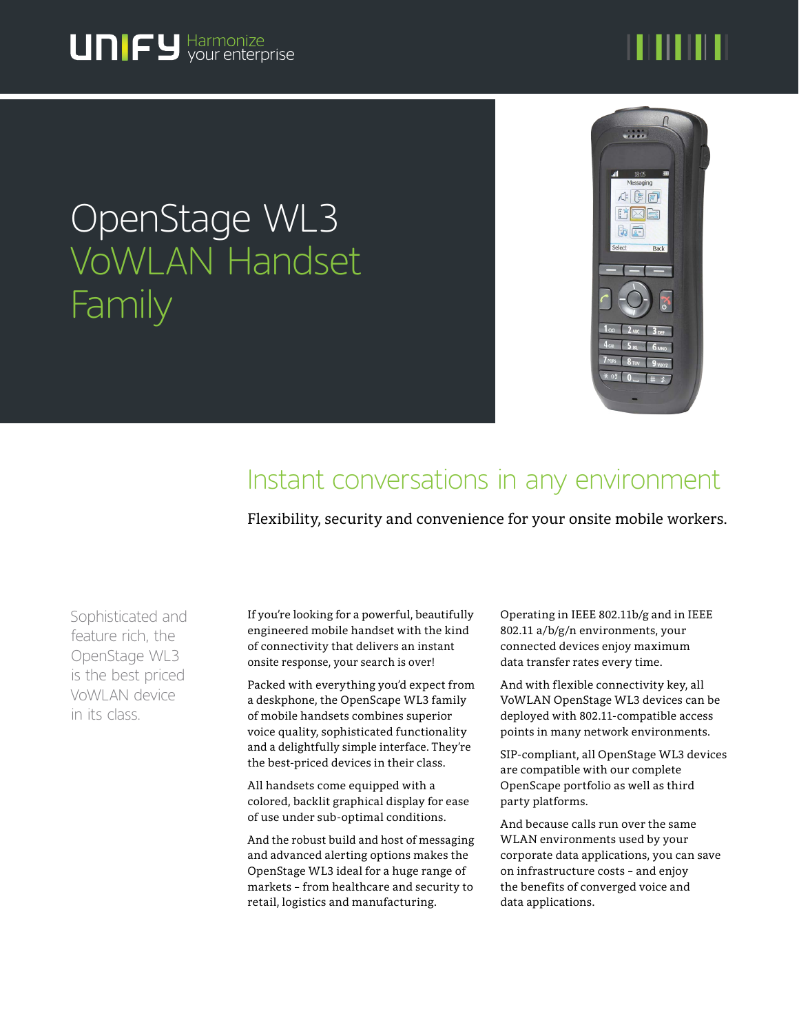# 

# OpenStage WL3 VoWLAN Handset **Family**



# Instant conversations in any environment

Flexibility, security and convenience for your onsite mobile workers.

Sophisticated and feature rich, the OpenStage WL3 is the best priced VoWLAN device in its class.

If you're looking for a powerful, beautifully engineered mobile handset with the kind of connectivity that delivers an instant onsite response, your search is over!

Packed with everything you'd expect from a deskphone, the OpenScape WL3 family of mobile handsets combines superior voice quality, sophisticated functionality and a delightfully simple interface. They're the best-priced devices in their class.

All handsets come equipped with a colored, backlit graphical display for ease of use under sub-optimal conditions.

And the robust build and host of messaging and advanced alerting options makes the OpenStage WL3 ideal for a huge range of markets – from healthcare and security to retail, logistics and manufacturing.

Operating in IEEE 802.11b/g and in IEEE 802.11 a/b/g/n environments, your connected devices enjoy maximum data transfer rates every time.

And with flexible connectivity key, all VoWLAN OpenStage WL3 devices can be deployed with 802.11-compatible access points in many network environments.

SIP-compliant, all OpenStage WL3 devices are compatible with our complete OpenScape portfolio as well as third party platforms.

And because calls run over the same WLAN environments used by your corporate data applications, you can save on infrastructure costs – and enjoy the benefits of converged voice and data applications.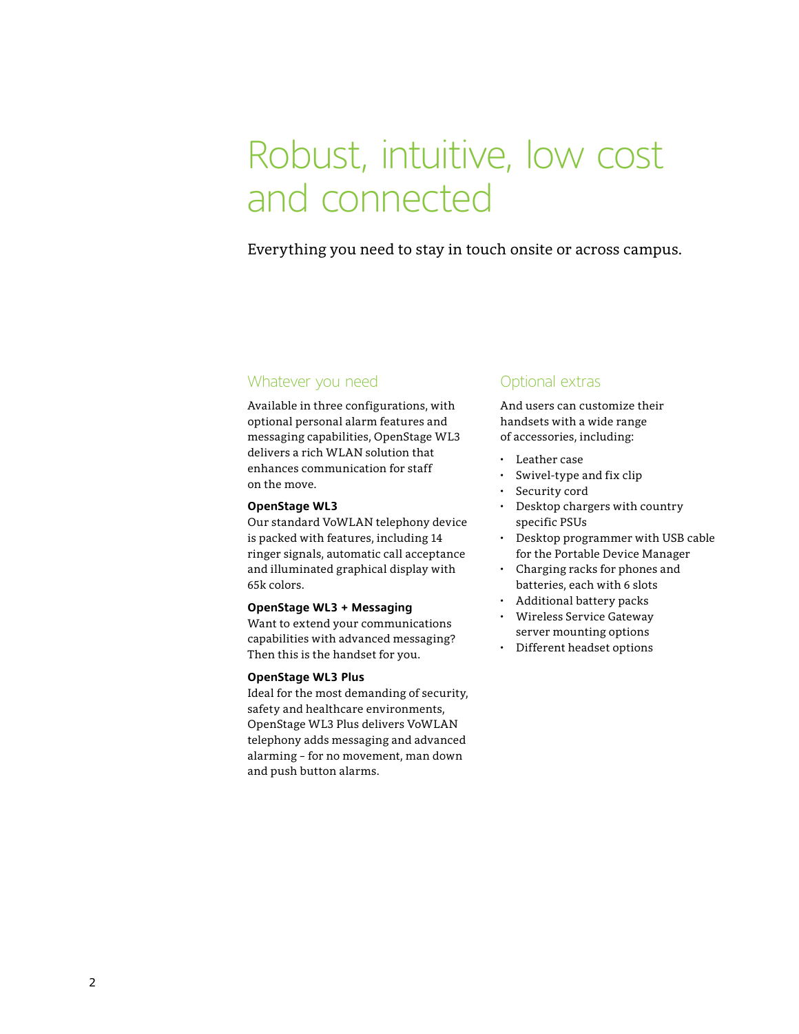# Robust, intuitive, low cost and connected

## Everything you need to stay in touch onsite or across campus.

### Whatever you need

Available in three configurations, with optional personal alarm features and messaging capabilities, OpenStage WL3 delivers a rich WLAN solution that enhances communication for staff on the move.

#### **OpenStage WL3**

Our standard VoWLAN telephony device is packed with features, including 14 ringer signals, automatic call acceptance and illuminated graphical display with 65k colors.

#### **OpenStage WL3 + Messaging**

Want to extend your communications capabilities with advanced messaging? Then this is the handset for you.

### **OpenStage WL3 Plus**

Ideal for the most demanding of security, safety and healthcare environments, OpenStage WL3 Plus delivers VoWLAN telephony adds messaging and advanced alarming – for no movement, man down and push button alarms.

### Optional extras

And users can customize their handsets with a wide range of accessories, including:

- Leather case
- Swivel-type and fix clip
- Security cord
- Desktop chargers with country specific PSUs
- Desktop programmer with USB cable for the Portable Device Manager
- Charging racks for phones and batteries, each with 6 slots
- Additional battery packs
- Wireless Service Gateway server mounting options
- Different headset options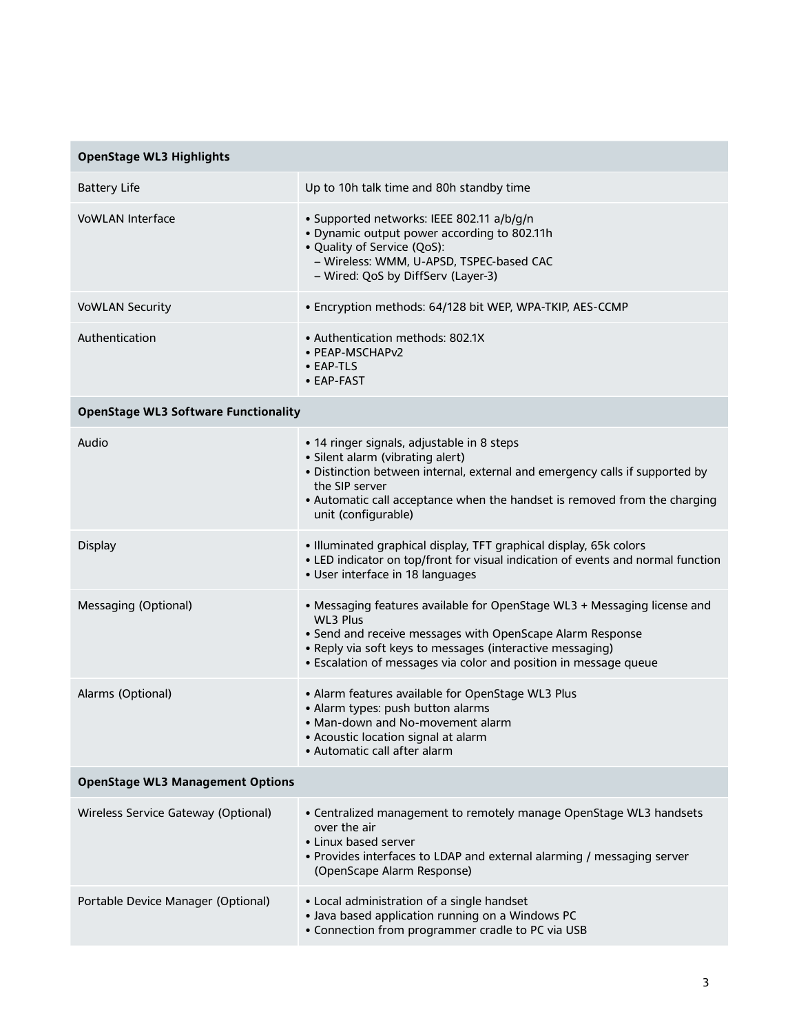| <b>OpenStage WL3 Highlights</b>             |                                                                                                                                                                                                                                                                                           |
|---------------------------------------------|-------------------------------------------------------------------------------------------------------------------------------------------------------------------------------------------------------------------------------------------------------------------------------------------|
| <b>Battery Life</b>                         | Up to 10h talk time and 80h standby time                                                                                                                                                                                                                                                  |
| <b>VoWLAN Interface</b>                     | · Supported networks: IEEE 802.11 a/b/g/n<br>• Dynamic output power according to 802.11h<br>• Quality of Service (QoS):<br>- Wireless: WMM, U-APSD, TSPEC-based CAC<br>- Wired: QoS by DiffServ (Layer-3)                                                                                 |
| <b>VoWLAN Security</b>                      | · Encryption methods: 64/128 bit WEP, WPA-TKIP, AES-CCMP                                                                                                                                                                                                                                  |
| Authentication                              | • Authentication methods: 802.1X<br>· PEAP-MSCHAPv2<br>• EAP-TLS<br>• EAP-FAST                                                                                                                                                                                                            |
| <b>OpenStage WL3 Software Functionality</b> |                                                                                                                                                                                                                                                                                           |
| Audio                                       | • 14 ringer signals, adjustable in 8 steps<br>· Silent alarm (vibrating alert)<br>. Distinction between internal, external and emergency calls if supported by<br>the SIP server<br>• Automatic call acceptance when the handset is removed from the charging<br>unit (configurable)      |
| <b>Display</b>                              | · Illuminated graphical display, TFT graphical display, 65k colors<br>• LED indicator on top/front for visual indication of events and normal function<br>· User interface in 18 languages                                                                                                |
| Messaging (Optional)                        | • Messaging features available for OpenStage WL3 + Messaging license and<br><b>WL3 Plus</b><br>• Send and receive messages with OpenScape Alarm Response<br>• Reply via soft keys to messages (interactive messaging)<br>• Escalation of messages via color and position in message queue |
| Alarms (Optional)                           | • Alarm features available for OpenStage WL3 Plus<br>• Alarm types: push button alarms<br>• Man-down and No-movement alarm<br>• Acoustic location signal at alarm<br>• Automatic call after alarm                                                                                         |
| <b>OpenStage WL3 Management Options</b>     |                                                                                                                                                                                                                                                                                           |
| Wireless Service Gateway (Optional)         | • Centralized management to remotely manage OpenStage WL3 handsets<br>over the air<br>• Linux based server<br>. Provides interfaces to LDAP and external alarming / messaging server<br>(OpenScape Alarm Response)                                                                        |
| Portable Device Manager (Optional)          | • Local administration of a single handset<br>• Java based application running on a Windows PC<br>• Connection from programmer cradle to PC via USB                                                                                                                                       |